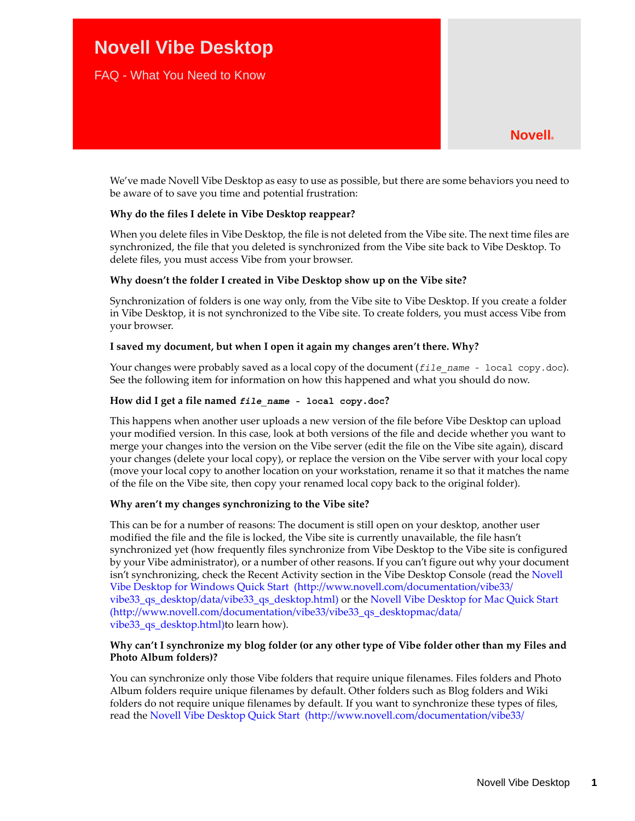# **Novell Vibe Desktop**

FAQ - What You Need to Know

We've made Novell Vibe Desktop as easy to use as possible, but there are some behaviors you need to be aware of to save you time and potential frustration:

# **Why do the files I delete in Vibe Desktop reappear?**

When you delete files in Vibe Desktop, the file is not deleted from the Vibe site. The next time files are synchronized, the file that you deleted is synchronized from the Vibe site back to Vibe Desktop. To delete files, you must access Vibe from your browser.

#### **Why doesn't the folder I created in Vibe Desktop show up on the Vibe site?**

Synchronization of folders is one way only, from the Vibe site to Vibe Desktop. If you create a folder in Vibe Desktop, it is not synchronized to the Vibe site. To create folders, you must access Vibe from your browser.

# **I saved my document, but when I open it again my changes aren't there. Why?**

Your changes were probably saved as a local copy of the document (*file\_name\_-* local copy.doc). See the following item for information on how this happened and what you should do now.

# **How did I get a file named** *file\_name* **- local copy.doc?**

This happens when another user uploads a new version of the file before Vibe Desktop can upload your modified version. In this case, look at both versions of the file and decide whether you want to merge your changes into the version on the Vibe server (edit the file on the Vibe site again), discard your changes (delete your local copy), or replace the version on the Vibe server with your local copy (move your local copy to another location on your workstation, rename it so that it matches the name of the file on the Vibe site, then copy your renamed local copy back to the original folder).

#### **Why aren't my changes synchronizing to the Vibe site?**

This can be for a number of reasons: The document is still open on your desktop, another user modified the file and the file is locked, the Vibe site is currently unavailable, the file hasn't synchronized yet (how frequently files synchronize from Vibe Desktop to the Vibe site is configured by your Vibe administrator), or a number of other reasons. If you can't figure out why your document isn't synchronizing, check the Recent Activity section in the Vibe Desktop Console (read the Novell [Vibe Desktop for Windows Quick Start](http://www.novell.com/documentation/vibe33/vibe33_qs_desktop/data/vibe33_qs_desktop.html) (http://www.novell.com/documentation/vibe33/ vibe33\_qs\_desktop/data/vibe33\_qs\_desktop.html) or the [Novell Vibe Desktop for Mac Quick Start](http://www.novell.com/documentation/vibe33/vibe33_qs_desktopmac/data/vibe33_qs_desktop.html)  (http://www.novell.com/documentation/vibe33/vibe33\_qs\_desktopmac/data/ vibe33\_qs\_desktop.html)to learn how).

# **Why can't I synchronize my blog folder (or any other type of Vibe folder other than my Files and Photo Album folders)?**

You can synchronize only those Vibe folders that require unique filenames. Files folders and Photo Album folders require unique filenames by default. Other folders such as Blog folders and Wiki folders do not require unique filenames by default. If you want to synchronize these types of files, read the [Novell Vibe Desktop Quick Start](http://www.novell.com/documentation/vibe33/vibe33_qs_desktop/data/vibe33_qs_desktop.html) (http://www.novell.com/documentation/vibe33/